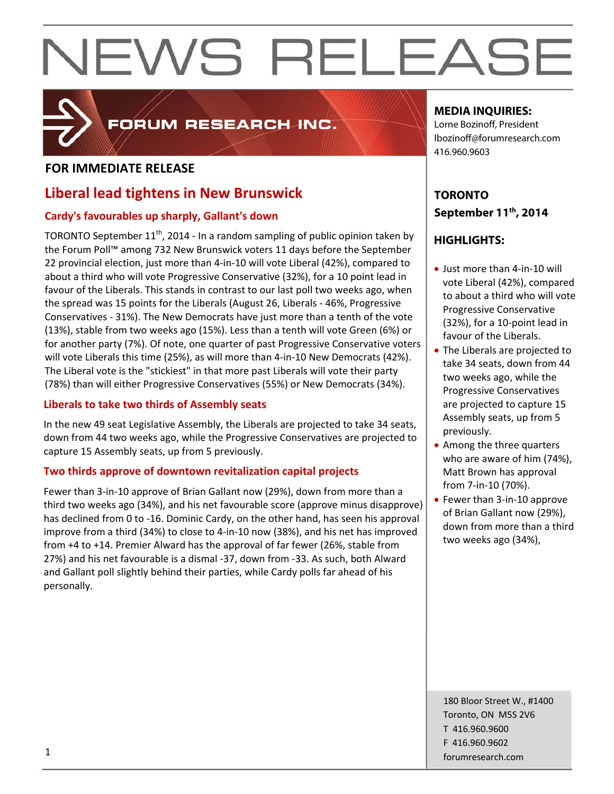

# FORUM RESEARCH INC.

# **FOR IMMEDIATE RELEASE**

# **Liberal lead tightens in New Brunswick**

# **Cardy's favourables up sharply, Gallant's down**

TORONTO September  $11<sup>th</sup>$ , 2014 - In a random sampling of public opinion taken by the Forum Poll™ among 732 New Brunswick voters 11 days before the September 22 provincial election, just more than 4‐in‐10 will vote Liberal (42%), compared to about a third who will vote Progressive Conservative (32%), for a 10 point lead in favour of the Liberals. This stands in contrast to our last poll two weeks ago, when the spread was 15 points for the Liberals (August 26, Liberals ‐ 46%, Progressive Conservatives ‐ 31%). The New Democrats have just more than a tenth of the vote (13%), stable from two weeks ago (15%). Less than a tenth will vote Green (6%) or for another party (7%). Of note, one quarter of past Progressive Conservative voters will vote Liberals this time (25%), as will more than 4‐in‐10 New Democrats (42%). The Liberal vote is the "stickiest" in that more past Liberals will vote their party (78%) than will either Progressive Conservatives (55%) or New Democrats (34%).

# **Liberals to take two thirds of Assembly seats**

In the new 49 seat Legislative Assembly, the Liberals are projected to take 34 seats, down from 44 two weeks ago, while the Progressive Conservatives are projected to capture 15 Assembly seats, up from 5 previously.

# **Two thirds approve of downtown revitalization capital projects**

Fewer than 3‐in‐10 approve of Brian Gallant now (29%), down from more than a third two weeks ago (34%), and his net favourable score (approve minus disapprove) has declined from 0 to -16. Dominic Cardy, on the other hand, has seen his approval improve from a third (34%) to close to 4‐in‐10 now (38%), and his net has improved from +4 to +14. Premier Alward has the approval of far fewer (26%, stable from 27%) and his net favourable is a dismal ‐37, down from ‐33. As such, both Alward and Gallant poll slightly behind their parties, while Cardy polls far ahead of his personally.

# **MEDIA INQUIRIES:**

Lorne Bozinoff, President lbozinoff@forumresearch.com 416.960.9603

# **TORONTO September 11th, 2014**

# **HIGHLIGHTS:**

- Just more than 4-in-10 will vote Liberal (42%), compared to about a third who will vote Progressive Conservative (32%), for a 10‐point lead in favour of the Liberals.
- The Liberals are projected to take 34 seats, down from 44 two weeks ago, while the Progressive Conservatives are projected to capture 15 Assembly seats, up from 5 previously.
- Among the three quarters who are aware of him (74%), Matt Brown has approval from 7‐in‐10 (70%).
- Fewer than 3-in-10 approve of Brian Gallant now (29%), down from more than a third two weeks ago (34%),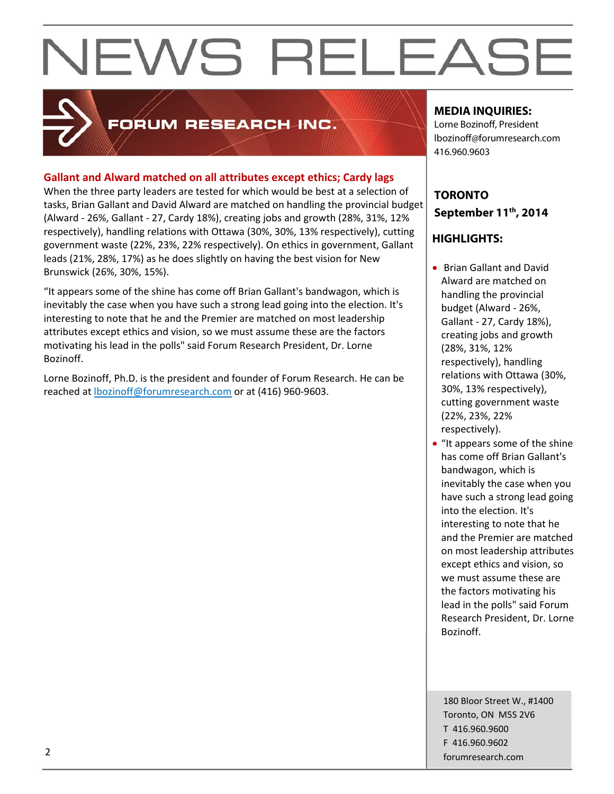

# FORUM RESEARCH INC.

# **Gallant and Alward matched on all attributes except ethics; Cardy lags**

When the three party leaders are tested for which would be best at a selection of tasks, Brian Gallant and David Alward are matched on handling the provincial budget (Alward ‐ 26%, Gallant ‐ 27, Cardy 18%), creating jobs and growth (28%, 31%, 12% respectively), handling relations with Ottawa (30%, 30%, 13% respectively), cutting government waste (22%, 23%, 22% respectively). On ethics in government, Gallant leads (21%, 28%, 17%) as he does slightly on having the best vision for New Brunswick (26%, 30%, 15%).

"It appears some of the shine has come off Brian Gallant's bandwagon, which is inevitably the case when you have such a strong lead going into the election. It's interesting to note that he and the Premier are matched on most leadership attributes except ethics and vision, so we must assume these are the factors motivating his lead in the polls" said Forum Research President, Dr. Lorne Bozinoff.

Lorne Bozinoff, Ph.D. is the president and founder of Forum Research. He can be reached at lbozinoff@forumresearch.com or at (416) 960‐9603.

# **MEDIA INQUIRIES:**

Lorne Bozinoff, President lbozinoff@forumresearch.com 416.960.9603

# **TORONTO September 11th, 2014**

# **HIGHLIGHTS:**

- Brian Gallant and David Alward are matched on handling the provincial budget (Alward ‐ 26%, Gallant ‐ 27, Cardy 18%), creating jobs and growth (28%, 31%, 12% respectively), handling relations with Ottawa (30%, 30%, 13% respectively), cutting government waste (22%, 23%, 22% respectively).
- "It appears some of the shine" has come off Brian Gallant's bandwagon, which is inevitably the case when you have such a strong lead going into the election. It's interesting to note that he and the Premier are matched on most leadership attributes except ethics and vision, so we must assume these are the factors motivating his lead in the polls" said Forum Research President, Dr. Lorne Bozinoff.

180 Bloor Street W., #1400 Toronto, ON M5S 2V6 T 416.960.9600 F 416.960.9602 example to the contract of the contract of the contract of the contract of the contract of the contract of the contract of the contract of the contract of the contract of the contract of the contract of the contract of the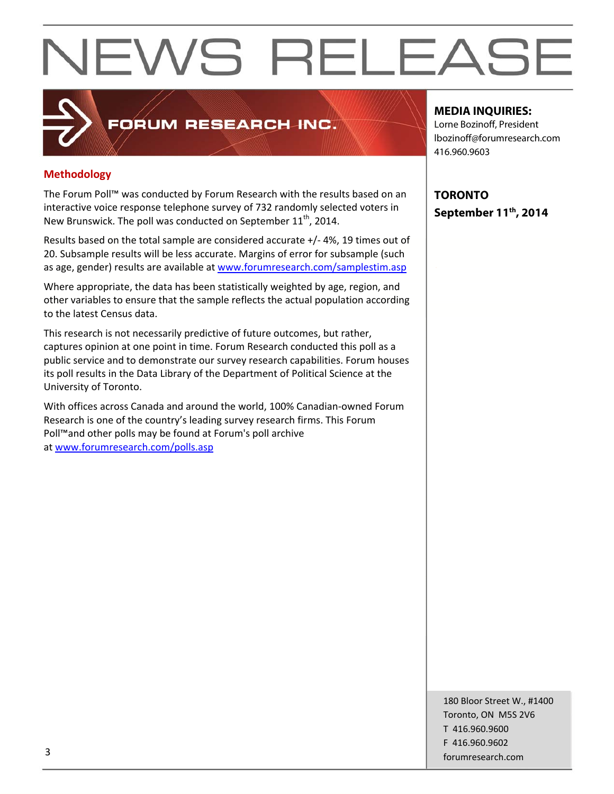# **Methodology**

The Forum Poll™ was conducted by Forum Research with the results based on an interactive voice response telephone survey of 732 randomly selected voters in New Brunswick. The poll was conducted on September 11<sup>th</sup>, 2014.

FORUM RESEARCH INC.

Results based on the total sample are considered accurate +/‐ 4%, 19 times out of 20. Subsample results will be less accurate. Margins of error for subsample (such as age, gender) results are available at www.forumresearch.com/samplestim.asp

Where appropriate, the data has been statistically weighted by age, region, and other variables to ensure that the sample reflects the actual population according to the latest Census data.

This research is not necessarily predictive of future outcomes, but rather, captures opinion at one point in time. Forum Research conducted this poll as a public service and to demonstrate our survey research capabilities. Forum houses its poll results in the Data Library of the Department of Political Science at the University of Toronto.

With offices across Canada and around the world, 100% Canadian‐owned Forum Research is one of the country's leading survey research firms. This Forum Poll™and other polls may be found at Forum's poll archive at www.forumresearch.com/polls.asp

# **MEDIA INQUIRIES:**

Lorne Bozinoff, President lbozinoff@forumresearch.com 416.960.9603

**TORONTO September 11th, 2014** 

180 Bloor Street W., #1400 Toronto, ON M5S 2V6 T 416.960.9600 F 416.960.9602 forumresearch.com and the set of the set of the set of the set of the set of the set of the set of the set of the set of the set of the set of the set of the set of the set of the set of the set of the set of the set of th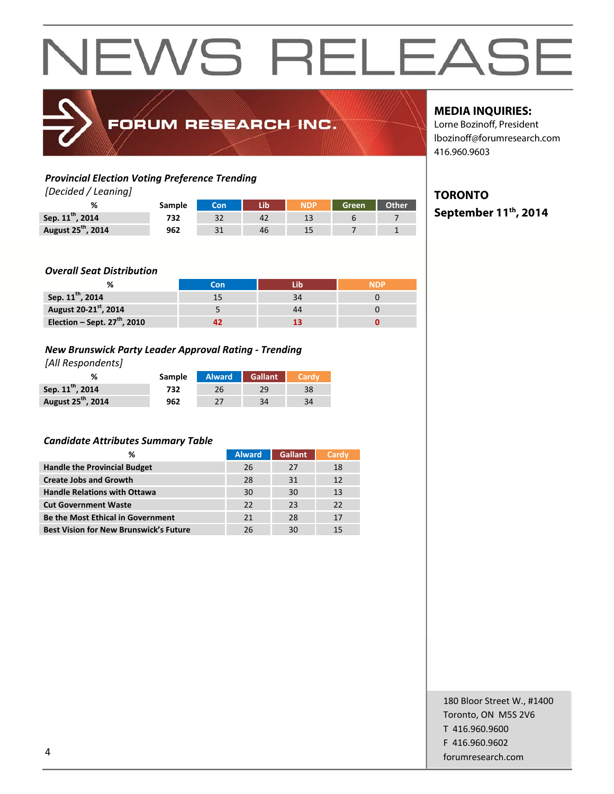

# FORUM RESEARCH INC.

# *Provincial Election Voting Preference Trending*

*[Decided / Leaning]*

| $1$ beerged $\prime$ becanning |        |            |    |       |       |
|--------------------------------|--------|------------|----|-------|-------|
|                                | Sample | <b>Con</b> |    | Green | Other |
| Sep. 11 <sup>th</sup> , 2014   | 732    |            | 42 |       |       |
| August 25 <sup>th</sup> , 2014 | 962    |            | 46 |       |       |

# **MEDIA INQUIRIES:**

Lorne Bozinoff, President lbozinoff@forumresearch.com 416.960.9603

# **TORONTO**

**September 11th, 2014** 

# *Overall Seat Distribution*

|                                | ิ∩n |  |
|--------------------------------|-----|--|
| Sep. 11 <sup>th</sup> , 2014   |     |  |
| August 20-21st, 2014           |     |  |
| Election – Sept. $27th$ , 2010 |     |  |

# *New Brunswick Party Leader Approval Rating ‐ Trending*

*[All Respondents]*

|                                | <b>Sample</b> |    | Alward Gallant |    |
|--------------------------------|---------------|----|----------------|----|
| Sep. 11 <sup>th</sup> , 2014   | 732           | 26 | 29             | 38 |
| August 25 <sup>th</sup> , 2014 | 962           |    | 34             | 34 |

# *Candidate Attributes Summary Table*

| ℅                                             | <b>Alward</b> | <b>Gallant</b> | Cardy |
|-----------------------------------------------|---------------|----------------|-------|
| <b>Handle the Provincial Budget</b>           | 26            | 27             | 18    |
| <b>Create Jobs and Growth</b>                 | 28            | 31             | 12    |
| <b>Handle Relations with Ottawa</b>           | 30            | 30             | 13    |
| <b>Cut Government Waste</b>                   | 22            | 23             | 22    |
| <b>Be the Most Ethical in Government</b>      | 21            | 28             | 17    |
| <b>Best Vision for New Brunswick's Future</b> | 26            | 30             | 15    |

180 Bloor Street W., #1400 Toronto, ON M5S 2V6 T 416.960.9600 F 416.960.9602 example to the contract of the contract of the contract of the contract of the contract of the contract of the contract of the contract of the contract of the contract of the contract of the contract of the contract of the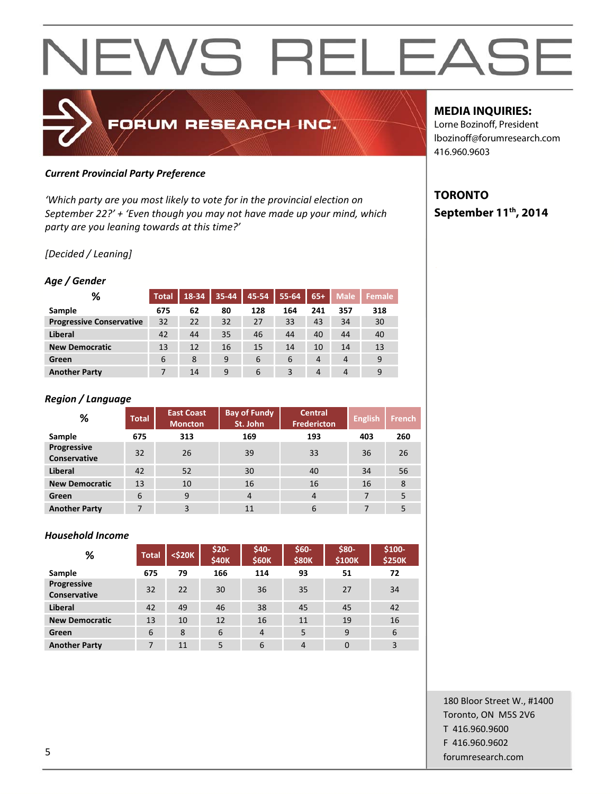# FORUM RESEARCH INC.

# *Current Provincial Party Preference*

*'Which party are you most likely to vote for in the provincial election on September 22?' + 'Even though you may not have made up your mind, which party are you leaning towards at this time?'*

# *[Decided / Leaning]*

# *Age / Gender*

| %                               | <b>Total</b> | 18-34 | 35-44 | 45-54 | 55-64 | $65+$          | <b>Male</b>    | Female |
|---------------------------------|--------------|-------|-------|-------|-------|----------------|----------------|--------|
| Sample                          | 675          | 62    | 80    | 128   | 164   | 241            | 357            | 318    |
| <b>Progressive Conservative</b> | 32           | 22    | 32    | 27    | 33    | 43             | 34             | 30     |
| Liberal                         | 42           | 44    | 35    | 46    | 44    | 40             | 44             | 40     |
| <b>New Democratic</b>           | 13           | 12    | 16    | 15    | 14    | 10             | 14             | 13     |
| Green                           | 6            | 8     | 9     | 6     | 6     | $\overline{4}$ | $\overline{4}$ | 9      |
| <b>Another Party</b>            |              | 14    | 9     | 6     | 3     | $\overline{4}$ | $\overline{4}$ | 9      |

# *Region / Language*

| %                           | <b>Total</b> | <b>East Coast</b><br><b>Moncton</b> | <b>Bay of Fundy</b><br>St. John | <b>Central</b><br><b>Fredericton</b> | <b>English</b> | <b>French</b> |
|-----------------------------|--------------|-------------------------------------|---------------------------------|--------------------------------------|----------------|---------------|
| Sample                      | 675          | 313                                 | 169                             | 193                                  | 403            | 260           |
| Progressive<br>Conservative | 32           | 26                                  | 39                              | 33                                   | 36             | 26            |
| <b>Liberal</b>              | 42           | 52                                  | 30                              | 40                                   | 34             | 56            |
| <b>New Democratic</b>       | 13           | 10                                  | 16                              | 16                                   | 16             | 8             |
| Green                       | 6            | 9                                   | $\overline{4}$                  | $\overline{4}$                       | 7              | 5             |
| <b>Another Party</b>        | 7            | 3                                   | 11                              | 6                                    | 7              | 5             |

### *Household Income*

| %                                  | <b>Total</b> | $<$ \$20 $<$ | $$20-$<br><b>\$40K</b> | $$40-$<br><b>\$60K</b> | $$60-$<br><b>\$80K</b> | \$80-<br>\$100K | $$100-$<br><b>\$250K</b> |
|------------------------------------|--------------|--------------|------------------------|------------------------|------------------------|-----------------|--------------------------|
| Sample                             | 675          | 79           | 166                    | 114                    | 93                     | 51              | 72                       |
| Progressive<br><b>Conservative</b> | 32           | 22           | 30                     | 36                     | 35                     | 27              | 34                       |
| Liberal                            | 42           | 49           | 46                     | 38                     | 45                     | 45              | 42                       |
| <b>New Democratic</b>              | 13           | 10           | 12                     | 16                     | 11                     | 19              | 16                       |
| Green                              | 6            | 8            | 6                      | $\overline{4}$         | 5                      | 9               | 6                        |
| <b>Another Party</b>               | 7            | 11           | 5                      | 6                      | $\overline{4}$         | $\Omega$        | 3                        |

# **MEDIA INQUIRIES:**

Lorne Bozinoff, President lbozinoff@forumresearch.com 416.960.9603

# **TORONTO September 11th, 2014**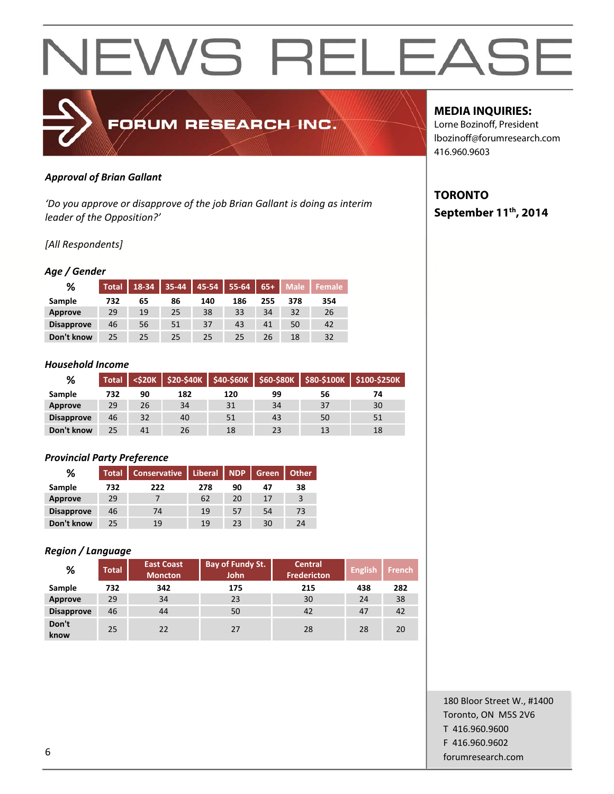# FORUM RESEARCH INC.

# *Approval of Brian Gallant*

*'Do you approve or disapprove of the job Brian Gallant is doing as interim leader of the Opposition?'*

# *[All Respondents]*

### *Age / Gender*

| %                 | Total | 18-34 | $35 - 44$ | 45-54 | 55-64 | $65+$ | <b>Male</b> | Female |
|-------------------|-------|-------|-----------|-------|-------|-------|-------------|--------|
| Sample            | 732   | 65    | 86        | 140   | 186   | 255   | 378         | 354    |
| Approve           | 29    | 19    | 25        | 38    | 33    | 34    | 32          | 26     |
| <b>Disapprove</b> | 46    | 56    | 51        | 37    | 43    | 41    | 50          | 42     |
| Don't know        | 25    | 25    | 25        | 25    | 25    | 26    | 18          | 32     |

#### *Household Income*

| %                 | Total <sup>'</sup> | <b><s20k< b=""></s20k<></b> |     |     |    |    | \$20-\$40K \$40-\$60K \$60-\$80K \$80-\$100K \$100-\$250K |
|-------------------|--------------------|-----------------------------|-----|-----|----|----|-----------------------------------------------------------|
| Sample            | 732                | 90                          | 182 | 120 | 99 | 56 | 74                                                        |
| Approve           | 29                 | 26                          | 34  | 31  | 34 | 37 | 30                                                        |
| <b>Disapprove</b> | 46                 | 32                          | 40  | 51  | 43 | 50 | 51                                                        |
| Don't know        | 25                 | 41                          | 26  | 18  | 23 | 13 | 18                                                        |

# *Provincial Party Preference*

| ℅                 | <b>Total</b> | <b>Conservative</b> | <b>Liberal</b> | <b>NDP</b> | Green | <b>Other</b> |
|-------------------|--------------|---------------------|----------------|------------|-------|--------------|
| Sample            | 732          | 222                 | 278            | 90         | 47    | 38           |
| Approve           | 29           |                     | 62             | 20         | 17    | 3            |
| <b>Disapprove</b> | 46           | 74                  | 19             | 57         | 54    | 73           |
| Don't know        | 25           | 19                  | 19             | 23         | 30    | 24           |

# *Region / Language*

| %                 | <b>Total</b> | <b>East Coast</b><br><b>Moncton</b> | Bay of Fundy St.<br><b>John</b> | <b>Central</b><br><b>Fredericton</b> | <b>English</b> | <b>French</b> |
|-------------------|--------------|-------------------------------------|---------------------------------|--------------------------------------|----------------|---------------|
| Sample            | 732          | 342                                 | 175                             | 215                                  | 438            | 282           |
| Approve           | 29           | 34                                  | 23                              | 30                                   | 24             | 38            |
| <b>Disapprove</b> | 46           | 44                                  | 50                              | 42                                   | 47             | 42            |
| Don't<br>know     | 25           | 22                                  | 27                              | 28                                   | 28             | 20            |

# **MEDIA INQUIRIES:**

Lorne Bozinoff, President lbozinoff@forumresearch.com 416.960.9603

# **TORONTO September 11th, 2014**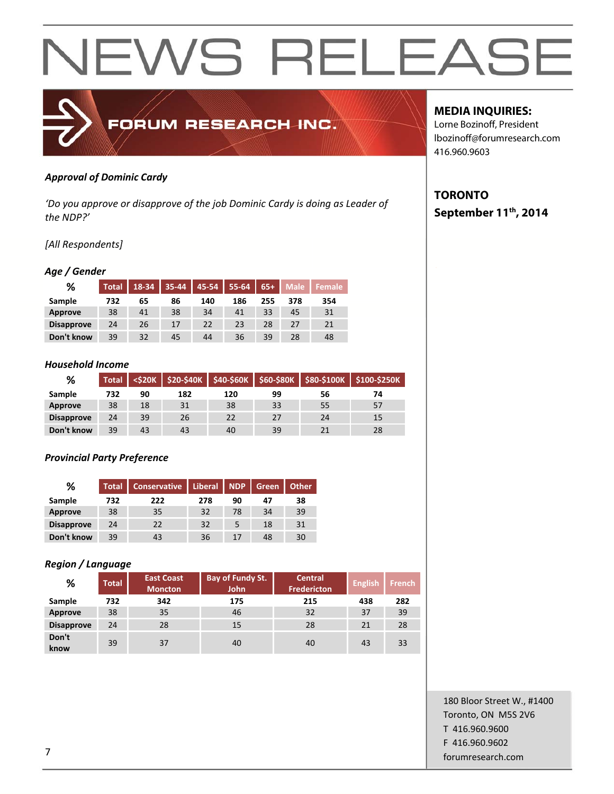

# *Approval of Dominic Cardy*

*'Do you approve or disapprove of the job Dominic Cardy is doing as Leader of the NDP?'*

# *[All Respondents]*

# *Age / Gender*

| %                 | <b>Total</b> | 18-34 | 35-44 | 45-54 | 55-64 | $65+$ | <b>Male</b> | <b>Female</b> |
|-------------------|--------------|-------|-------|-------|-------|-------|-------------|---------------|
| Sample            | 732          | 65    | 86    | 140   | 186   | 255   | 378         | 354           |
| Approve           | 38           | 41    | 38    | 34    | 41    | 33    | 45          | 31            |
| <b>Disapprove</b> | 24           | 26    | 17    | 22    | 23    | 28    | 27          | 21            |
| Don't know        | 39           | 32    | 45    | 44    | 36    | 39    | 28          | 48            |

#### *Household Income*

| %                 | <b>Total</b> | $<$ \$20 $K$ |     |     |    |    | \$20-\$40K \$40-\$60K \$60-\$80K \$80-\$100K \$100-\$250K |
|-------------------|--------------|--------------|-----|-----|----|----|-----------------------------------------------------------|
| Sample            | 732          | 90           | 182 | 120 | 99 | 56 | 74                                                        |
| Approve           | 38           | 18           | 31  | 38  | 33 | 55 | 57                                                        |
| <b>Disapprove</b> | 24           | 39           | 26  | 22  | 27 | 24 | 15                                                        |
| Don't know        | 39           | 43           | 43  | 40  | 39 |    | 28                                                        |

# *Provincial Party Preference*

| ℅                 | <b>Total</b> | <b>Conservative</b> | <b>Liberal</b> | <b>NDP</b> | Green | <b>Other</b> |
|-------------------|--------------|---------------------|----------------|------------|-------|--------------|
| Sample            | 732          | 222                 | 278            | 90         | 47    | 38           |
| Approve           | 38           | 35                  | 32             | 78         | 34    | 39           |
| <b>Disapprove</b> | 24           | 22                  | 32             |            | 18    | 31           |
| Don't know        | 39           | 43                  | 36             | 17         | 48    | 30           |

### *Region / Language*

| %                 | <b>Total</b> | <b>East Coast</b><br><b>Moncton</b> | <b>Bay of Fundy St.</b><br>John | <b>Central</b><br><b>Fredericton</b> | <b>English</b> | <b>French</b> |
|-------------------|--------------|-------------------------------------|---------------------------------|--------------------------------------|----------------|---------------|
| Sample            | 732          | 342                                 | 175                             | 215                                  | 438            | 282           |
| <b>Approve</b>    | 38           | 35                                  | 46                              | 32                                   | 37             | 39            |
| <b>Disapprove</b> | 24           | 28                                  | 15                              | 28                                   | 21             | 28            |
| Don't<br>know     | 39           | 37                                  | 40                              | 40                                   | 43             | 33            |

# **MEDIA INQUIRIES:**

Lorne Bozinoff, President lbozinoff@forumresearch.com 416.960.9603

# **TORONTO September 11th, 2014**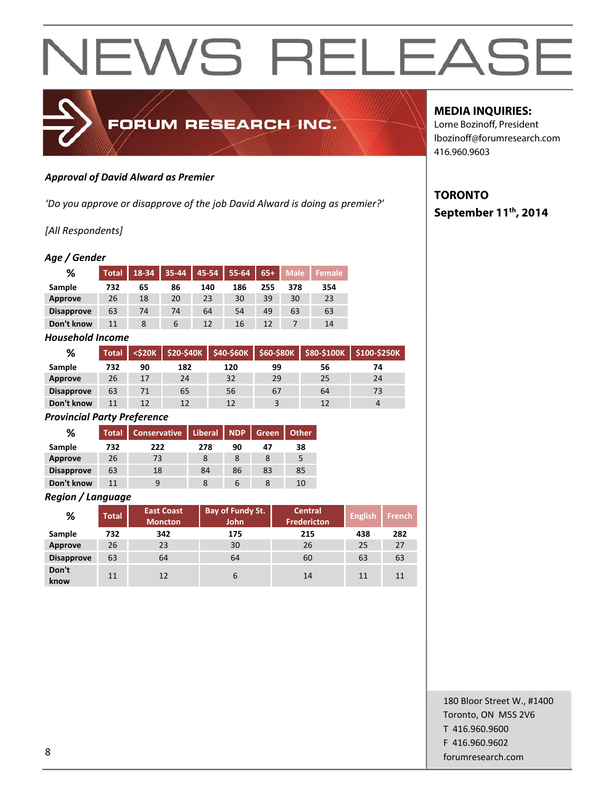

### *Approval of David Alward as Premier*

*'Do you approve or disapprove of the job David Alward is doing as premier?'*

# *[All Respondents]*

# *Age / Gender*

| ℅                 | <b>Total</b> | 18-34 | 35-44       | 45-54 | 55-64 | $65+$ | <b>Male</b> | <b>Female</b> |
|-------------------|--------------|-------|-------------|-------|-------|-------|-------------|---------------|
| Sample            | 732          | 65    | 86          | 140   | 186   | 255   | 378         | 354           |
| Approve           | 26           | 18    | 20          | 23    | 30    | 39    | 30          | 23            |
| <b>Disapprove</b> | 63           | 74    | 74          | 64    | 54    | 49    | 63          | 63            |
| Don't know        | 11           |       | $\mathbf b$ | 12    | 16    |       |             | 14            |

### *Household Income*

| %                 | <b>Total</b> | <\$20K |     |     |    |    | \$20-\$40K \$40-\$60K \$60-\$80K \$80-\$100K \$100-\$250K |
|-------------------|--------------|--------|-----|-----|----|----|-----------------------------------------------------------|
| Sample            | 732          | 90     | 182 | 120 | 99 | 56 | 74                                                        |
| <b>Approve</b>    | 26           | 17     | 24  | 32  | 29 | 25 | 24                                                        |
| <b>Disapprove</b> | 63           | 71     | 65  | 56  | 67 | 64 | 73                                                        |
| Don't know        |              | 12     | 12  | 12  |    | 12 | 4                                                         |

#### *Provincial Party Preference*

| %                 | <b>Total</b> | <b>Conservative</b> | <b>Liberal</b> | <b>NDP</b> | Green | <b>Other</b> |
|-------------------|--------------|---------------------|----------------|------------|-------|--------------|
| Sample            | 732          | 222                 | 278            | 90         | 47    | 38           |
| Approve           | 26           | 73                  | 8              |            |       | 5            |
| <b>Disapprove</b> | 63           | 18                  | 84             | 86         | 83    | 85           |
| Don't know        | 11           | 9                   |                | b          |       | 10           |

#### *Region / Language*

| %                 | <b>Total</b> | <b>East Coast</b><br><b>Moncton</b> | <b>Bay of Fundy St.</b><br><b>John</b> | <b>Central</b><br><b>Fredericton</b> | <b>English</b> | <b>French</b> |
|-------------------|--------------|-------------------------------------|----------------------------------------|--------------------------------------|----------------|---------------|
| Sample            | 732          | 342                                 | 175                                    | 215                                  | 438            | 282           |
| Approve           | 26           | 23                                  | 30                                     | 26                                   | 25             | 27            |
| <b>Disapprove</b> | 63           | 64                                  | 64                                     | 60                                   | 63             | 63            |
| Don't<br>know     | 11           | 12                                  | 6                                      | 14                                   | 11             | 11            |

# **MEDIA INQUIRIES:**

Lorne Bozinoff, President lbozinoff@forumresearch.com 416.960.9603

# **TORONTO September 11th, 2014**

180 Bloor Street W., #1400 Toronto, ON M5S 2V6 T 416.960.9600 F 416.960.9602 end to the state of the state of the state of the state of the state of the state of the state of the state of the state of the state of the state of the state of the state of the state of the state of the state of the sta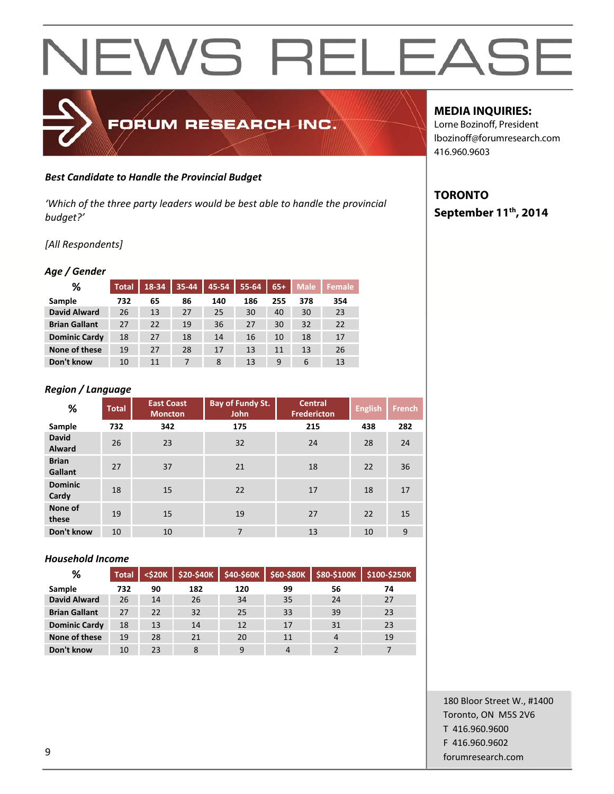# FORUM RESEARCH INC.

# *Best Candidate to Handle the Provincial Budget*

*'Which of the three party leaders would be best able to handle the provincial budget?'*

# *[All Respondents]*

# *Age / Gender*

| ℅                    | Total | 18-34 | 35-44 | 45-54 | 55-64 | $65+$ | <b>Male</b> | Female |
|----------------------|-------|-------|-------|-------|-------|-------|-------------|--------|
| Sample               | 732   | 65    | 86    | 140   | 186   | 255   | 378         | 354    |
| <b>David Alward</b>  | 26    | 13    | 27    | 25    | 30    | 40    | 30          | 23     |
| <b>Brian Gallant</b> | 27    | 22    | 19    | 36    | 27    | 30    | 32          | 22     |
| <b>Dominic Cardy</b> | 18    | 27    | 18    | 14    | 16    | 10    | 18          | 17     |
| None of these        | 19    | 27    | 28    | 17    | 13    | 11    | 13          | 26     |
| Don't know           | 10    | 11    | 7     | 8     | 13    | 9     | 6           | 13     |

# *Region / Language*

| %                             | <b>Total</b> | <b>East Coast</b><br><b>Moncton</b> | <b>Bay of Fundy St.</b><br><b>John</b> | <b>Central</b><br><b>Fredericton</b> | <b>English</b> | <b>French</b> |
|-------------------------------|--------------|-------------------------------------|----------------------------------------|--------------------------------------|----------------|---------------|
| Sample                        | 732          | 342                                 | 175                                    | 215                                  | 438            | 282           |
| <b>David</b><br><b>Alward</b> | 26           | 23                                  | 32                                     | 24                                   | 28             | 24            |
| <b>Brian</b><br>Gallant       | 27           | 37                                  | 21                                     | 18                                   | 22             | 36            |
| <b>Dominic</b><br>Cardy       | 18           | 15                                  | 22                                     | 17                                   | 18             | 17            |
| None of<br>these              | 19           | 15                                  | 19                                     | 27                                   | 22             | 15            |
| Don't know                    | 10           | 10                                  | 7                                      | 13                                   | 10             | 9             |

# *Household Income*

| %                    | <b>Total</b> | $<$ \$20 $K$ | \$20-\$40K | \$40-\$60K | \$60-\$80K |    | $$80-$100K$ \$100-\$250K |
|----------------------|--------------|--------------|------------|------------|------------|----|--------------------------|
| Sample               | 732          | 90           | 182        | 120        | 99         | 56 | 74                       |
| <b>David Alward</b>  | 26           | 14           | 26         | 34         | 35         | 24 | 27                       |
| <b>Brian Gallant</b> | 27           | 22           | 32         | 25         | 33         | 39 | 23                       |
| <b>Dominic Cardy</b> | 18           | 13           | 14         | 12         | 17         | 31 | 23                       |
| None of these        | 19           | 28           | 21         | 20         | 11         | 4  | 19                       |
| Don't know           | 10           | 23           | 8          | q          | 4          |    |                          |

# **MEDIA INQUIRIES:**

Lorne Bozinoff, President lbozinoff@forumresearch.com 416.960.9603

# **TORONTO September 11th, 2014**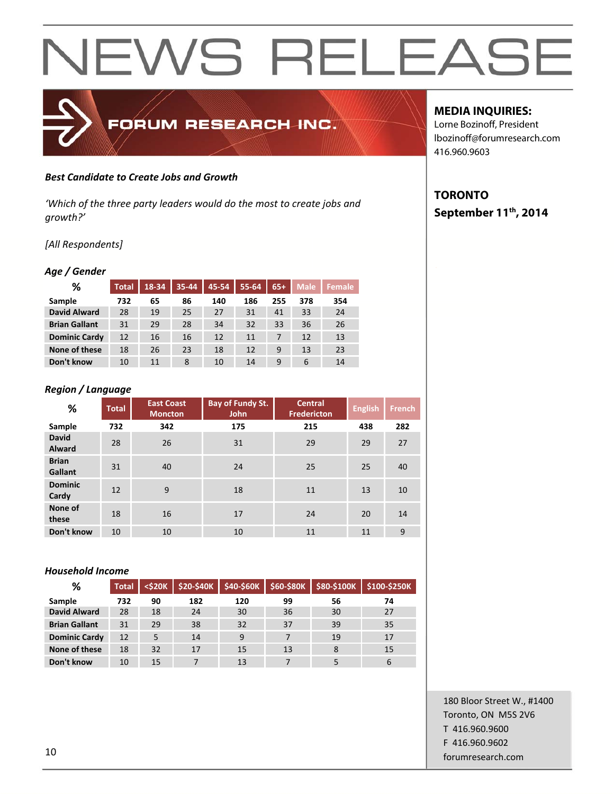### *Best Candidate to Create Jobs and Growth*

*'Which of the three party leaders would do the most to create jobs and growth?'*

FORUM RESEARCH INC.

#### *[All Respondents]*

#### *Age / Gender*

| ℅                    | <b>Total</b> | 18-34 | 35-44 | 45-54 | 55-64 | $65+$ | <b>Male</b> | 'Female |
|----------------------|--------------|-------|-------|-------|-------|-------|-------------|---------|
| Sample               | 732          | 65    | 86    | 140   | 186   | 255   | 378         | 354     |
| <b>David Alward</b>  | 28           | 19    | 25    | 27    | 31    | 41    | 33          | 24      |
| <b>Brian Gallant</b> | 31           | 29    | 28    | 34    | 32    | 33    | 36          | 26      |
| <b>Dominic Cardy</b> | 12           | 16    | 16    | 12    | 11    | 7     | 12          | 13      |
| None of these        | 18           | 26    | 23    | 18    | 12    | 9     | 13          | 23      |
| Don't know           | 10           | 11    | 8     | 10    | 14    | 9     | 6           | 14      |

# *Region / Language*

| %                             | <b>Total</b> | <b>East Coast</b><br><b>Moncton</b> | Bay of Fundy St.<br>John | <b>Central</b><br><b>Fredericton</b> | <b>English</b> | <b>French</b> |
|-------------------------------|--------------|-------------------------------------|--------------------------|--------------------------------------|----------------|---------------|
| Sample                        | 732          | 342                                 | 175                      | 215                                  | 438            | 282           |
| <b>David</b><br><b>Alward</b> | 28           | 26                                  | 31                       | 29                                   | 29             | 27            |
| <b>Brian</b><br>Gallant       | 31           | 40                                  | 24                       | 25                                   | 25             | 40            |
| <b>Dominic</b><br>Cardy       | 12           | 9                                   | 18                       | 11                                   | 13             | 10            |
| None of<br>these              | 18           | 16                                  | 17                       | 24                                   | 20             | 14            |
| Don't know                    | 10           | 10                                  | 10                       | 11                                   | 11             | 9             |

#### *Household Income*

| %                    | <b>Total</b> | $<$ \$20 $K$ | \$20-\$40K |     |    |    | $\frac{1}{2}$ \$40-\$60K   \$60-\$80K   \$80-\$100K   \$100-\$250K |
|----------------------|--------------|--------------|------------|-----|----|----|--------------------------------------------------------------------|
| Sample               | 732          | 90           | 182        | 120 | 99 | 56 | 74                                                                 |
| <b>David Alward</b>  | 28           | 18           | 24         | 30  | 36 | 30 | 27                                                                 |
| <b>Brian Gallant</b> | 31           | 29           | 38         | 32  | 37 | 39 | 35                                                                 |
| <b>Dominic Cardy</b> | 12           | 5            | 14         | 9   | 7  | 19 | 17                                                                 |
| None of these        | 18           | 32           | 17         | 15  | 13 | 8  | 15                                                                 |
| Don't know           | 10           | 15           |            | 13  |    |    | 6                                                                  |

# 180 Bloor Street W., #1400 Toronto, ON M5S 2V6 T 416.960.9600 F 416.960.9602 forumresearch.com

### **MEDIA INQUIRIES:**

Lorne Bozinoff, President lbozinoff@forumresearch.com 416.960.9603

# **TORONTO September 11th, 2014**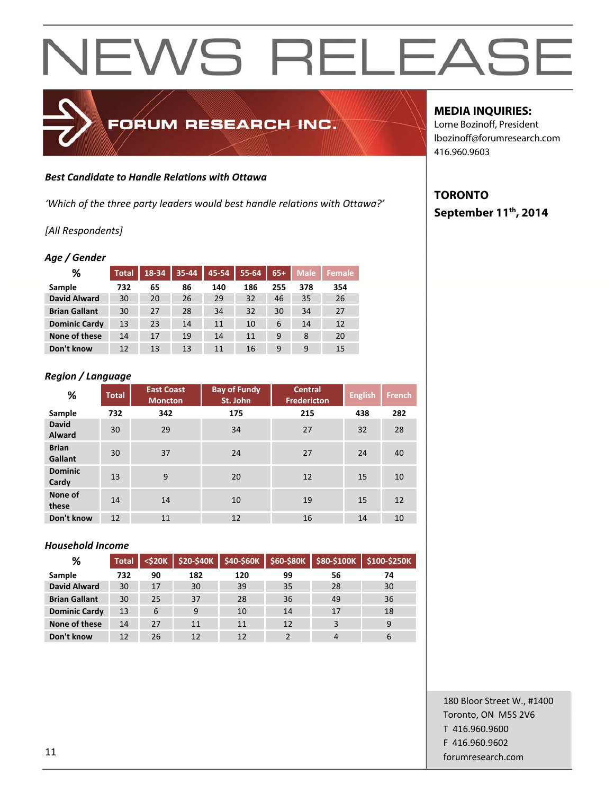# FORUM RESEARCH INC.

### *Best Candidate to Handle Relations with Ottawa*

*'Which of the three party leaders would best handle relations with Ottawa?'*

# *[All Respondents]*

# *Age / Gender*

| ℅                    | <b>Total</b> | 18-34 | 35-44 | 45-54 | 55-64 | $65+$ | <b>Male</b> | <b>Female</b> |
|----------------------|--------------|-------|-------|-------|-------|-------|-------------|---------------|
| Sample               | 732          | 65    | 86    | 140   | 186   | 255   | 378         | 354           |
| <b>David Alward</b>  | 30           | 20    | 26    | 29    | 32    | 46    | 35          | 26            |
| <b>Brian Gallant</b> | 30           | 27    | 28    | 34    | 32    | 30    | 34          | 27            |
| <b>Dominic Cardy</b> | 13           | 23    | 14    | 11    | 10    | 6     | 14          | 12            |
| None of these        | 14           | 17    | 19    | 14    | 11    | 9     | 8           | 20            |
| Don't know           | 12           | 13    | 13    | 11    | 16    | 9     | 9           | 15            |

# *Region / Language*

| %                             | <b>Total</b> | <b>East Coast</b><br><b>Moncton</b> | <b>Bay of Fundy</b><br>St. John | <b>Central</b><br><b>Fredericton</b> | <b>English</b> | <b>French</b> |
|-------------------------------|--------------|-------------------------------------|---------------------------------|--------------------------------------|----------------|---------------|
| Sample                        | 732          | 342                                 | 175                             | 215                                  | 438            | 282           |
| <b>David</b><br><b>Alward</b> | 30           | 29                                  | 34                              | 27                                   | 32             | 28            |
| <b>Brian</b><br>Gallant       | 30           | 37                                  | 24                              | 27                                   | 24             | 40            |
| <b>Dominic</b><br>Cardy       | 13           | 9                                   | 20                              | 12                                   | 15             | 10            |
| None of<br>these              | 14           | 14                                  | 10                              | 19                                   | 15             | 12            |
| Don't know                    | 12           | 11                                  | 12                              | 16                                   | 14             | 10            |

### *Household Income*

| %                    | <b>Total</b> | $<$ \$20 $K$ | \$20-\$40K | \$40-\$60K |    |    | \$60-\$80K \$80-\$100K \$100-\$250K |
|----------------------|--------------|--------------|------------|------------|----|----|-------------------------------------|
| Sample               | 732          | 90           | 182        | 120        | 99 | 56 | 74                                  |
| <b>David Alward</b>  | 30           | 17           | 30         | 39         | 35 | 28 | 30                                  |
| <b>Brian Gallant</b> | 30           | 25           | 37         | 28         | 36 | 49 | 36                                  |
| <b>Dominic Cardy</b> | 13           | 6            | 9          | 10         | 14 | 17 | 18                                  |
| None of these        | 14           | 27           | 11         | 11         | 12 | 3  | 9                                   |
| Don't know           | 12           | 26           | 12         | 12         |    |    | 6                                   |

# **MEDIA INQUIRIES:**

Lorne Bozinoff, President lbozinoff@forumresearch.com 416.960.9603

# **TORONTO September 11th, 2014**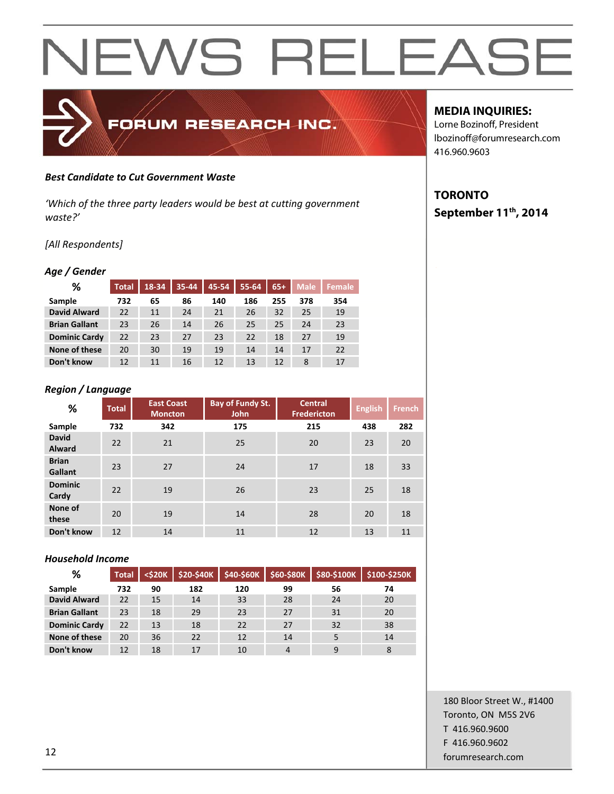#### *Best Candidate to Cut Government Waste*

*'Which of the three party leaders would be best at cutting government waste?'*

FORUM RESEARCH INC.

#### *[All Respondents]*

# *Age / Gender*

| ℅                    | <b>Total</b> | 18-34 | 35-44 | 45-54 | 55-64 | $65+$ | <b>Male</b> | Female |
|----------------------|--------------|-------|-------|-------|-------|-------|-------------|--------|
| Sample               | 732          | 65    | 86    | 140   | 186   | 255   | 378         | 354    |
| <b>David Alward</b>  | 22           | 11    | 24    | 21    | 26    | 32    | 25          | 19     |
| <b>Brian Gallant</b> | 23           | 26    | 14    | 26    | 25    | 25    | 24          | 23     |
| <b>Dominic Cardy</b> | 22           | 23    | 27    | 23    | 22    | 18    | 27          | 19     |
| None of these        | 20           | 30    | 19    | 19    | 14    | 14    | 17          | 22     |
| Don't know           | 12           | 11    | 16    | 12    | 13    | 12    | 8           | 17     |

#### *Region / Language*

| %                       | <b>Total</b> | <b>East Coast</b><br><b>Moncton</b> | Bay of Fundy St.<br><b>John</b> | <b>Central</b><br><b>Fredericton</b> | <b>English</b> | <b>French</b> |
|-------------------------|--------------|-------------------------------------|---------------------------------|--------------------------------------|----------------|---------------|
| Sample                  | 732          | 342                                 | 175                             | 215                                  | 438            | 282           |
| <b>David</b><br>Alward  | 22           | 21                                  | 25                              | 20                                   | 23             | 20            |
| <b>Brian</b><br>Gallant | 23           | 27                                  | 24                              | 17                                   | 18             | 33            |
| <b>Dominic</b><br>Cardy | 22           | 19                                  | 26                              | 23                                   | 25             | 18            |
| None of<br>these        | 20           | 19                                  | 14                              | 28                                   | 20             | 18            |
| Don't know              | 12           | 14                                  | 11                              | 12                                   | 13             | 11            |

#### *Household Income*

| %                    | <b>Total</b> | $<$ \$20 $K$ | <b>\$20-\$40K</b> | \$40-\$60K | \$60-\$80K | \$80-\$100K | \$100-\$250K |
|----------------------|--------------|--------------|-------------------|------------|------------|-------------|--------------|
| Sample               | 732          | 90           | 182               | 120        | 99         | 56          | 74           |
| <b>David Alward</b>  | 22           | 15           | 14                | 33         | 28         | 24          | 20           |
| <b>Brian Gallant</b> | 23           | 18           | 29                | 23         | 27         | 31          | 20           |
| <b>Dominic Cardy</b> | 22           | 13           | 18                | 22         | 27         | 32          | 38           |
| None of these        | 20           | 36           | 22                | 12         | 14         |             | 14           |
| Don't know           | 12           | 18           | 17                | 10         | 4          | q           | 8            |

# **MEDIA INQUIRIES:**

Lorne Bozinoff, President lbozinoff@forumresearch.com 416.960.9603

# **TORONTO September 11th, 2014**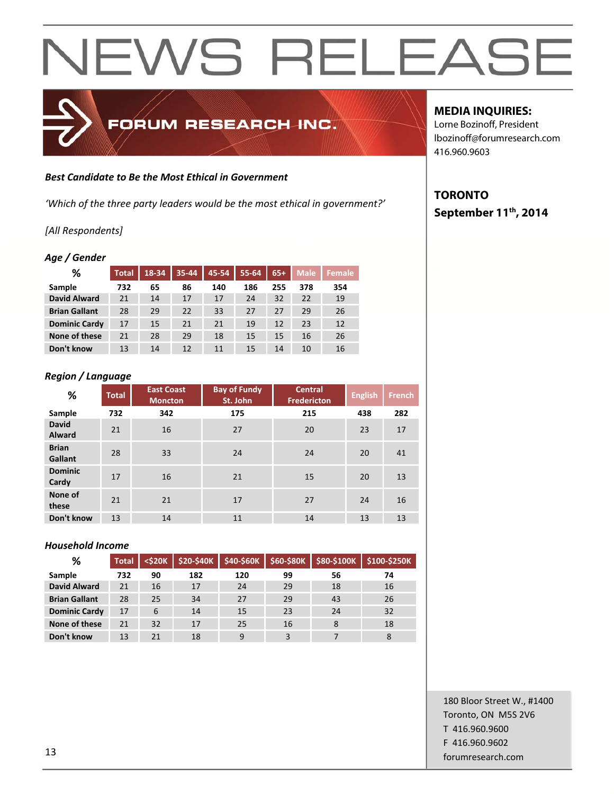

#### *Best Candidate to Be the Most Ethical in Government*

*'Which of the three party leaders would be the most ethical in government?'*

### *[All Respondents]*

### *Age / Gender*

| ℅                    | <b>Total</b> | 18-34 | 35-44 | 45-54 | 55-64 | $65+$ | <b>Male</b> | <b>Female</b> |
|----------------------|--------------|-------|-------|-------|-------|-------|-------------|---------------|
| Sample               | 732          | 65    | 86    | 140   | 186   | 255   | 378         | 354           |
| <b>David Alward</b>  | 21           | 14    | 17    | 17    | 24    | 32    | 22          | 19            |
| <b>Brian Gallant</b> | 28           | 29    | 22    | 33    | 27    | 27    | 29          | 26            |
| <b>Dominic Cardy</b> | 17           | 15    | 21    | 21    | 19    | 12    | 23          | 12            |
| None of these        | 21           | 28    | 29    | 18    | 15    | 15    | 16          | 26            |
| Don't know           | 13           | 14    | 12    | 11    | 15    | 14    | 10          | 16            |

### *Region / Language*

| %                             | <b>Total</b> | <b>East Coast</b><br><b>Moncton</b> | <b>Bay of Fundy</b><br>St. John | <b>Central</b><br><b>Fredericton</b> | <b>English</b> | <b>French</b> |
|-------------------------------|--------------|-------------------------------------|---------------------------------|--------------------------------------|----------------|---------------|
| Sample                        | 732          | 342                                 | 175                             | 215                                  | 438            | 282           |
| <b>David</b><br><b>Alward</b> | 21           | 16                                  | 27                              | 20                                   | 23             | 17            |
| <b>Brian</b><br>Gallant       | 28           | 33                                  | 24                              | 24                                   | 20             | 41            |
| <b>Dominic</b><br>Cardy       | 17           | 16                                  | 21                              | 15                                   | 20             | 13            |
| None of<br>these              | 21           | 21                                  | 17                              | 27                                   | 24             | 16            |
| Don't know                    | 13           | 14                                  | 11                              | 14                                   | 13             | 13            |

### *Household Income*

| %                    | <b>Total</b> | $<$ \$20 $<$ | \$20-\$40K | \$40-\$60K |    | \$60-\$80K \$80-\$100K | $\vert$ \$100-\$250K |
|----------------------|--------------|--------------|------------|------------|----|------------------------|----------------------|
| Sample               | 732          | 90           | 182        | 120        | 99 | 56                     | 74                   |
| <b>David Alward</b>  | 21           | 16           | 17         | 24         | 29 | 18                     | 16                   |
| <b>Brian Gallant</b> | 28           | 25           | 34         | 27         | 29 | 43                     | 26                   |
| <b>Dominic Cardy</b> | 17           | 6            | 14         | 15         | 23 | 24                     | 32                   |
| None of these        | 21           | 32           | 17         | 25         | 16 | 8                      | 18                   |
| Don't know           | 13           | 21           | 18         | 9          | 3  |                        |                      |

# **MEDIA INQUIRIES:**

Lorne Bozinoff, President lbozinoff@forumresearch.com 416.960.9603

# **TORONTO September 11th, 2014**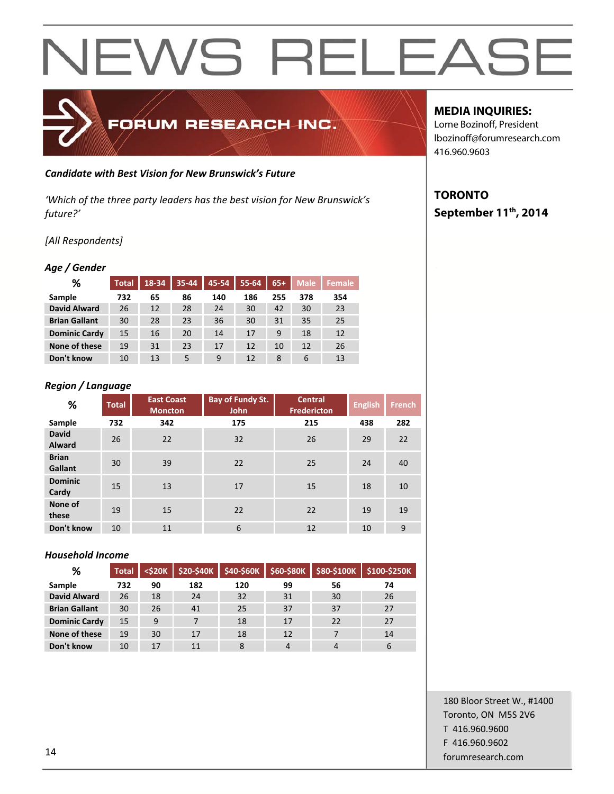

### *Candidate with Best Vision for New Brunswick's Future*

*'Which of the three party leaders has the best vision for New Brunswick's future?'*

# *[All Respondents]*

### *Age / Gender*

| %                    | <b>Total</b> | 18-34 | 35-44 | 45-54 | 55-64 | $65+$ | <b>Male</b> | <b>Female</b> |
|----------------------|--------------|-------|-------|-------|-------|-------|-------------|---------------|
| Sample               | 732          | 65    | 86    | 140   | 186   | 255   | 378         | 354           |
| <b>David Alward</b>  | 26           | 12    | 28    | 24    | 30    | 42    | 30          | 23            |
| <b>Brian Gallant</b> | 30           | 28    | 23    | 36    | 30    | 31    | 35          | 25            |
| <b>Dominic Cardy</b> | 15           | 16    | 20    | 14    | 17    | 9     | 18          | 12            |
| None of these        | 19           | 31    | 23    | 17    | 12    | 10    | 12          | 26            |
| Don't know           | 10           | 13    | 5     | 9     | 12    | 8     | 6           | 13            |

# *Region / Language*

| %                             | <b>Total</b> | <b>East Coast</b><br><b>Moncton</b> | <b>Bay of Fundy St.</b><br><b>John</b> | <b>Central</b><br><b>Fredericton</b> | <b>English</b> | <b>French</b> |
|-------------------------------|--------------|-------------------------------------|----------------------------------------|--------------------------------------|----------------|---------------|
| Sample                        | 732          | 342                                 | 175                                    | 215                                  | 438            | 282           |
| <b>David</b><br><b>Alward</b> | 26           | 22                                  | 32                                     | 26                                   | 29             | 22            |
| <b>Brian</b><br>Gallant       | 30           | 39                                  | 22                                     | 25                                   | 24             | 40            |
| <b>Dominic</b><br>Cardy       | 15           | 13                                  | 17                                     | 15                                   | 18             | 10            |
| None of<br>these              | 19           | 15                                  | 22                                     | 22                                   | 19             | 19            |
| Don't know                    | 10           | 11                                  | 6                                      | 12                                   | 10             | 9             |

### *Household Income*

| %                    | <b>Total</b> | $<$ \$20 $K$ | \$20-\$40K | \$40-\$60K | \$60-\$80K |    | $$80-$100K$ $$100-$250K$ |
|----------------------|--------------|--------------|------------|------------|------------|----|--------------------------|
| Sample               | 732          | 90           | 182        | 120        | 99         | 56 | 74                       |
| <b>David Alward</b>  | 26           | 18           | 24         | 32         | 31         | 30 | 26                       |
| <b>Brian Gallant</b> | 30           | 26           | 41         | 25         | 37         | 37 | 27                       |
| <b>Dominic Cardy</b> | 15           | 9            | 7          | 18         | 17         | 22 | 27                       |
| None of these        | 19           | 30           | 17         | 18         | 12         | 7  | 14                       |
| Don't know           | 10           | 17           | 11         | 8          | 4          |    | 6                        |

# **MEDIA INQUIRIES:**

Lorne Bozinoff, President lbozinoff@forumresearch.com 416.960.9603

# **TORONTO September 11th, 2014**